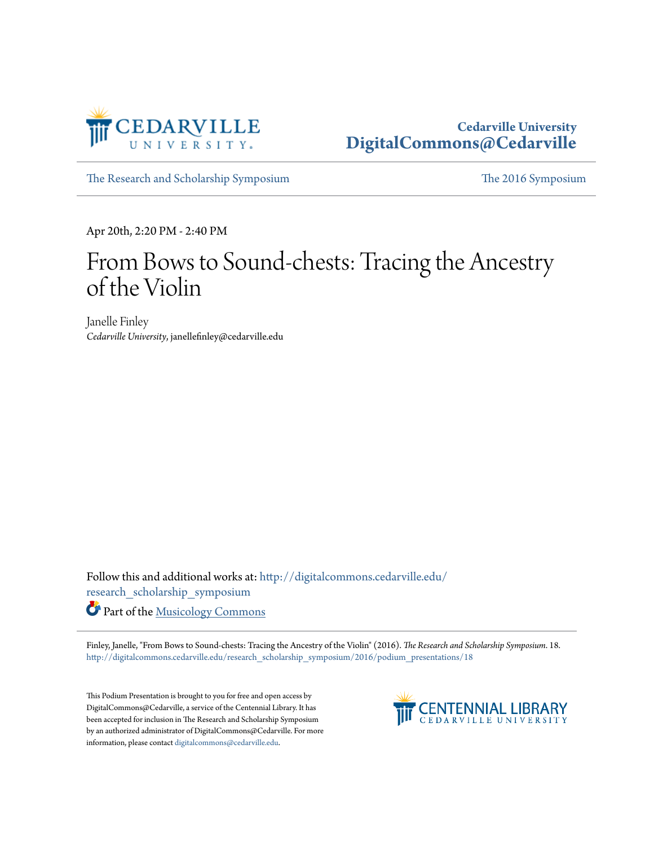

## **Cedarville University [DigitalCommons@Cedarville](http://digitalcommons.cedarville.edu?utm_source=digitalcommons.cedarville.edu%2Fresearch_scholarship_symposium%2F2016%2Fpodium_presentations%2F18&utm_medium=PDF&utm_campaign=PDFCoverPages)**

[The Research and Scholarship Symposium](http://digitalcommons.cedarville.edu/research_scholarship_symposium?utm_source=digitalcommons.cedarville.edu%2Fresearch_scholarship_symposium%2F2016%2Fpodium_presentations%2F18&utm_medium=PDF&utm_campaign=PDFCoverPages) [The 2016 Symposium](http://digitalcommons.cedarville.edu/research_scholarship_symposium/2016?utm_source=digitalcommons.cedarville.edu%2Fresearch_scholarship_symposium%2F2016%2Fpodium_presentations%2F18&utm_medium=PDF&utm_campaign=PDFCoverPages)

Apr 20th, 2:20 PM - 2:40 PM

## From Bows to Sound-chests: Tracing the Ancestry of the Violin

Janelle Finley *Cedarville University*, janellefinley@cedarville.edu

Follow this and additional works at: [http://digitalcommons.cedarville.edu/](http://digitalcommons.cedarville.edu/research_scholarship_symposium?utm_source=digitalcommons.cedarville.edu%2Fresearch_scholarship_symposium%2F2016%2Fpodium_presentations%2F18&utm_medium=PDF&utm_campaign=PDFCoverPages) [research\\_scholarship\\_symposium](http://digitalcommons.cedarville.edu/research_scholarship_symposium?utm_source=digitalcommons.cedarville.edu%2Fresearch_scholarship_symposium%2F2016%2Fpodium_presentations%2F18&utm_medium=PDF&utm_campaign=PDFCoverPages)

Part of the [Musicology Commons](http://network.bepress.com/hgg/discipline/521?utm_source=digitalcommons.cedarville.edu%2Fresearch_scholarship_symposium%2F2016%2Fpodium_presentations%2F18&utm_medium=PDF&utm_campaign=PDFCoverPages)

Finley, Janelle, "From Bows to Sound-chests: Tracing the Ancestry of the Violin" (2016). *The Research and Scholarship Symposium*. 18. [http://digitalcommons.cedarville.edu/research\\_scholarship\\_symposium/2016/podium\\_presentations/18](http://digitalcommons.cedarville.edu/research_scholarship_symposium/2016/podium_presentations/18?utm_source=digitalcommons.cedarville.edu%2Fresearch_scholarship_symposium%2F2016%2Fpodium_presentations%2F18&utm_medium=PDF&utm_campaign=PDFCoverPages)

This Podium Presentation is brought to you for free and open access by DigitalCommons@Cedarville, a service of the Centennial Library. It has been accepted for inclusion in The Research and Scholarship Symposium by an authorized administrator of DigitalCommons@Cedarville. For more information, please contact [digitalcommons@cedarville.edu.](mailto:digitalcommons@cedarville.edu)